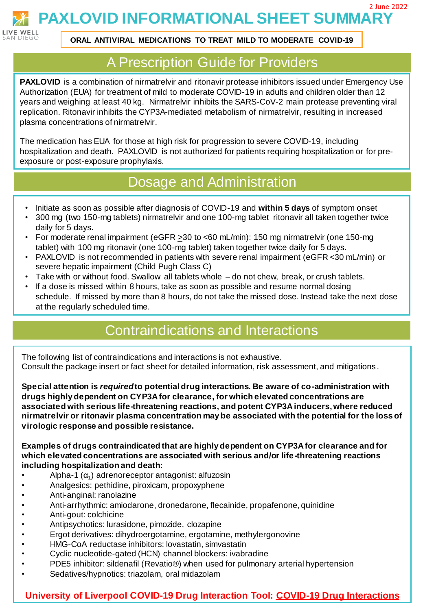2 June 2022

**PAXLOVID INFORMATIONAL SHEET SUMMARY**



**ORAL ANTIVIRAL MEDICATIONS TO TREAT MILD TO MODERATE COVID-19**

## A Prescription Guide for Providers

**PAXLOVID** is a combination of nirmatrelvir and ritonavir protease inhibitors issued under Emergency Use Authorization (EUA) for treatment of mild to moderate COVID-19 in adults and children older than 12 years and weighing at least 40 kg. Nirmatrelvir inhibits the SARS-CoV-2 main protease preventing viral replication. Ritonavir inhibits the CYP3A-mediated metabolism of nirmatrelvir, resulting in increased plasma concentrations of nirmatrelvir.

The medication has EUA for those at high risk for progression to severe COVID-19, including hospitalization and death. PAXLOVID is not authorized for patients requiring hospitalization or for preexposure or post-exposure prophylaxis.

# Dosage and Administration

- Initiate as soon as possible after diagnosis of COVID-19 and **within 5 days** of symptom onset
- 300 mg (two 150-mg tablets) nirmatrelvir and one 100-mg tablet ritonavir all taken together twice daily for 5 days.
- For moderate renal impairment (eGFR >30 to <60 mL/min): 150 mg nirmatrelvir (one 150-mg tablet) with 100 mg ritonavir (one 100-mg tablet) taken together twice daily for 5 days.
- PAXLOVID is not recommended in patients with severe renal impairment (eGFR <30 mL/min) or severe hepatic impairment (Child Pugh Class C)
- Take with or without food. Swallow all tablets whole do not chew, break, or crush tablets.
- If a dose is missed within 8 hours, take as soon as possible and resume normal dosing schedule. If missed by more than 8 hours, do not take the missed dose. Instead take the next dose at the regularly scheduled time.

# Contraindications and Interactions

The following list of contraindications and interactions is not exhaustive. Consult the package insert or fact sheet for detailed information, risk assessment, and mitigations .

**Special attention is** *required***to potential drug interactions. Be aware of co-administration with drugs highly dependent on CYP3A for clearance, for which elevated concentrations are associated with serious life-threatening reactions, and potent CYP3A inducers,where reduced nirmatrelvir or ritonavir plasma concentration may be associated with the potential for the loss of virologic response and possible resistance.**

**Examples of drugs contraindicated that are highly dependent on CYP3A for clearance and for which elevated concentrations are associated with serious and/or life-threatening reactions including hospitalization and death:**

- Alpha-1  $(\alpha_1)$  adrenoreceptor antagonist: alfuzosin
- Analgesics: pethidine, piroxicam, propoxyphene
- Anti-anginal: ranolazine
- Anti-arrhythmic: amiodarone, dronedarone, flecainide, propafenone, quinidine
- Anti-gout: colchicine
- Antipsychotics: lurasidone, pimozide, clozapine
- Ergot derivatives: dihydroergotamine, ergotamine, methylergonovine
- HMG-CoA reductase inhibitors: lovastatin, simvastatin
- Cyclic nucleotide-gated (HCN) channel blockers: ivabradine
- PDE5 inhibitor: sildenafil (Revatio®) when used for pulmonary arterial hypertension
- Sedatives/hypnotics: triazolam, oral midazolam

### **University of Liverpool COVID-19 Drug Interaction Tool: [COVID-19 Drug](https://www.covid19-druginteractions.org/checker) Interactions**